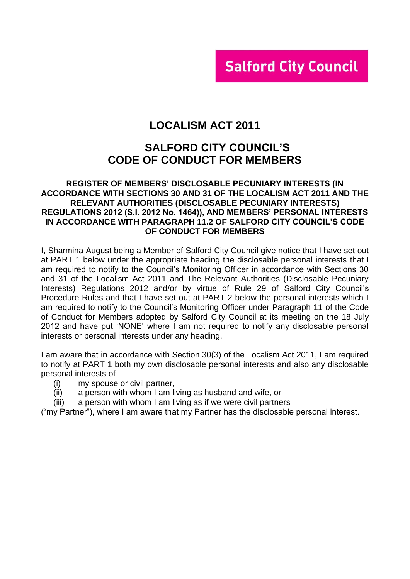# **Salford City Council**

# **LOCALISM ACT 2011**

# **SALFORD CITY COUNCIL'S CODE OF CONDUCT FOR MEMBERS**

#### **REGISTER OF MEMBERS' DISCLOSABLE PECUNIARY INTERESTS (IN ACCORDANCE WITH SECTIONS 30 AND 31 OF THE LOCALISM ACT 2011 AND THE RELEVANT AUTHORITIES (DISCLOSABLE PECUNIARY INTERESTS) REGULATIONS 2012 (S.I. 2012 No. 1464)), AND MEMBERS' PERSONAL INTERESTS IN ACCORDANCE WITH PARAGRAPH 11.2 OF SALFORD CITY COUNCIL'S CODE OF CONDUCT FOR MEMBERS**

I, Sharmina August being a Member of Salford City Council give notice that I have set out at PART 1 below under the appropriate heading the disclosable personal interests that I am required to notify to the Council's Monitoring Officer in accordance with Sections 30 and 31 of the Localism Act 2011 and The Relevant Authorities (Disclosable Pecuniary Interests) Regulations 2012 and/or by virtue of Rule 29 of Salford City Council's Procedure Rules and that I have set out at PART 2 below the personal interests which I am required to notify to the Council's Monitoring Officer under Paragraph 11 of the Code of Conduct for Members adopted by Salford City Council at its meeting on the 18 July 2012 and have put 'NONE' where I am not required to notify any disclosable personal interests or personal interests under any heading.

I am aware that in accordance with Section 30(3) of the Localism Act 2011, I am required to notify at PART 1 both my own disclosable personal interests and also any disclosable personal interests of

- (i) my spouse or civil partner,
- (ii) a person with whom I am living as husband and wife, or
- (iii) a person with whom I am living as if we were civil partners

("my Partner"), where I am aware that my Partner has the disclosable personal interest.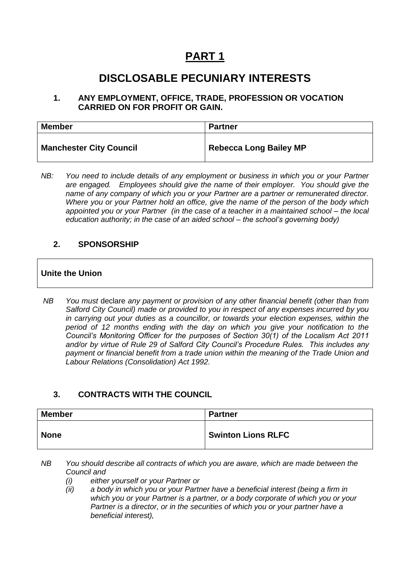# **PART 1**

# **DISCLOSABLE PECUNIARY INTERESTS**

#### **1. ANY EMPLOYMENT, OFFICE, TRADE, PROFESSION OR VOCATION CARRIED ON FOR PROFIT OR GAIN.**

| <b>Member</b>                  | <b>Partner</b>                |
|--------------------------------|-------------------------------|
| <b>Manchester City Council</b> | <b>Rebecca Long Bailey MP</b> |

*NB: You need to include details of any employment or business in which you or your Partner are engaged. Employees should give the name of their employer. You should give the name of any company of which you or your Partner are a partner or remunerated director. Where you or your Partner hold an office, give the name of the person of the body which appointed you or your Partner (in the case of a teacher in a maintained school – the local education authority; in the case of an aided school – the school's governing body)*

#### **2. SPONSORSHIP**

#### **Unite the Union**

*NB You must* declare *any payment or provision of any other financial benefit (other than from Salford City Council) made or provided to you in respect of any expenses incurred by you in carrying out your duties as a councillor, or towards your election expenses, within the period of 12 months ending with the day on which you give your notification to the Council's Monitoring Officer for the purposes of Section 30(1) of the Localism Act 2011 and/or by virtue of Rule 29 of Salford City Council's Procedure Rules. This includes any payment or financial benefit from a trade union within the meaning of the Trade Union and Labour Relations (Consolidation) Act 1992.* 

### **3. CONTRACTS WITH THE COUNCIL**

| <b>Member</b> | <b>Partner</b>            |
|---------------|---------------------------|
| <b>None</b>   | <b>Swinton Lions RLFC</b> |

- *NB You should describe all contracts of which you are aware, which are made between the Council and* 
	- *(i) either yourself or your Partner or*
	- *(ii) a body in which you or your Partner have a beneficial interest (being a firm in which you or your Partner is a partner, or a body corporate of which you or your Partner is a director, or in the securities of which you or your partner have a beneficial interest),*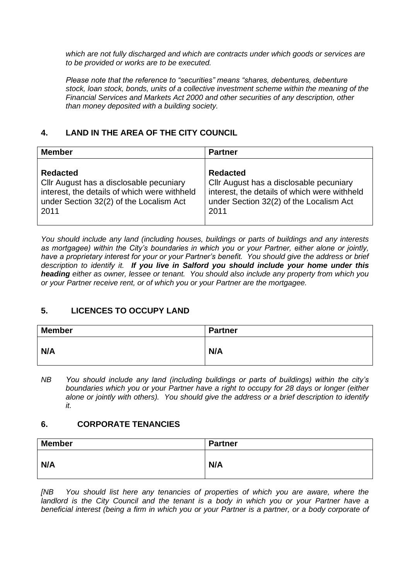*which are not fully discharged and which are contracts under which goods or services are to be provided or works are to be executed.*

*Please note that the reference to "securities" means "shares, debentures, debenture stock, loan stock, bonds, units of a collective investment scheme within the meaning of the Financial Services and Markets Act 2000 and other securities of any description, other than money deposited with a building society.*

### **4. LAND IN THE AREA OF THE CITY COUNCIL**

| <b>Member</b>                                | <b>Partner</b>                               |
|----------------------------------------------|----------------------------------------------|
| <b>Redacted</b>                              | <b>Redacted</b>                              |
| Cllr August has a disclosable pecuniary      | Cllr August has a disclosable pecuniary      |
| interest, the details of which were withheld | interest, the details of which were withheld |
| under Section 32(2) of the Localism Act      | under Section 32(2) of the Localism Act      |
| 2011                                         | 2011                                         |

*You should include any land (including houses, buildings or parts of buildings and any interests as mortgagee) within the City's boundaries in which you or your Partner, either alone or jointly, have a proprietary interest for your or your Partner's benefit. You should give the address or brief description to identify it. If you live in Salford you should include your home under this heading either as owner, lessee or tenant. You should also include any property from which you or your Partner receive rent, or of which you or your Partner are the mortgagee.*

### **5. LICENCES TO OCCUPY LAND**

| <b>Member</b> | <b>Partner</b> |
|---------------|----------------|
| N/A           | N/A            |

*NB You should include any land (including buildings or parts of buildings) within the city's boundaries which you or your Partner have a right to occupy for 28 days or longer (either alone or jointly with others). You should give the address or a brief description to identify it.*

#### **6. CORPORATE TENANCIES**

| <b>Member</b> | <b>Partner</b> |
|---------------|----------------|
| N/A           | N/A            |

*[NB You should list here any tenancies of properties of which you are aware, where the*  landlord is the City Council and the tenant is a body in which you or your Partner have a *beneficial interest (being a firm in which you or your Partner is a partner, or a body corporate of*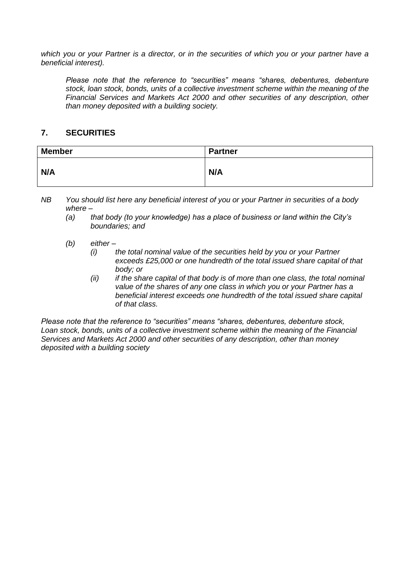*which you or your Partner is a director, or in the securities of which you or your partner have a beneficial interest).* 

*Please note that the reference to "securities" means "shares, debentures, debenture stock, loan stock, bonds, units of a collective investment scheme within the meaning of the Financial Services and Markets Act 2000 and other securities of any description, other than money deposited with a building society.*

#### **7. SECURITIES**

| <b>Member</b> | <b>Partner</b> |
|---------------|----------------|
| N/A           | N/A            |

*NB You should list here any beneficial interest of you or your Partner in securities of a body where –*

*(a) that body (to your knowledge) has a place of business or land within the City's boundaries; and* 

- *(b) either –*
	- *(i) the total nominal value of the securities held by you or your Partner exceeds £25,000 or one hundredth of the total issued share capital of that body; or*
	- *(ii) if the share capital of that body is of more than one class, the total nominal value of the shares of any one class in which you or your Partner has a beneficial interest exceeds one hundredth of the total issued share capital of that class.*

*Please note that the reference to "securities" means "shares, debentures, debenture stock, Loan stock, bonds, units of a collective investment scheme within the meaning of the Financial Services and Markets Act 2000 and other securities of any description, other than money deposited with a building society*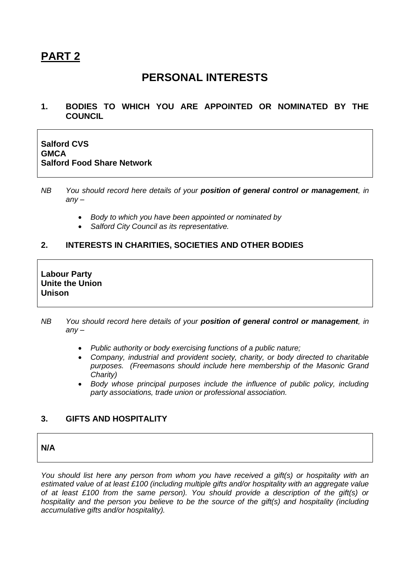# **PART 2**

# **PERSONAL INTERESTS**

#### **1. BODIES TO WHICH YOU ARE APPOINTED OR NOMINATED BY THE COUNCIL**

### **Salford CVS GMCA Salford Food Share Network**

- *NB You should record here details of your position of general control or management, in any –*
	- *Body to which you have been appointed or nominated by*
	- *Salford City Council as its representative.*

#### **2. INTERESTS IN CHARITIES, SOCIETIES AND OTHER BODIES**

### **Labour Party Unite the Union Unison**

- *NB You should record here details of your position of general control or management, in any –*
	- *Public authority or body exercising functions of a public nature;*
	- *Company, industrial and provident society, charity, or body directed to charitable purposes. (Freemasons should include here membership of the Masonic Grand Charity)*
	- *Body whose principal purposes include the influence of public policy, including party associations, trade union or professional association.*

### **3. GIFTS AND HOSPITALITY**

#### **N/A**

*You should list here any person from whom you have received a gift(s) or hospitality with an estimated value of at least £100 (including multiple gifts and/or hospitality with an aggregate value of at least £100 from the same person). You should provide a description of the gift(s) or hospitality and the person you believe to be the source of the gift(s) and hospitality (including accumulative gifts and/or hospitality).*